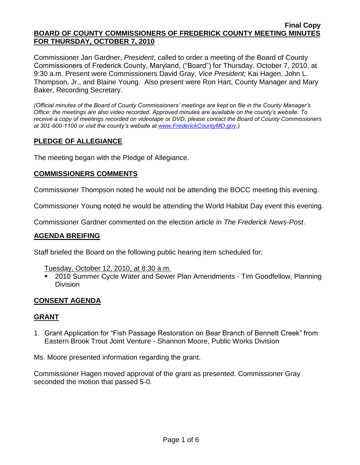Commissioner Jan Gardner, *President*, called to order a meeting of the Board of County Commissioners of Frederick County, Maryland, ("Board") for Thursday, October 7, 2010, at 9:30 a.m. Present were Commissioners David Gray, *Vice President;* Kai Hagen, John L. Thompson, Jr., and Blaine Young. Also present were Ron Hart, County Manager and Mary Baker, Recording Secretary.

*(Official minutes of the Board of County Commissioners' meetings are kept on file in the County Manager's Office; the meetings are also video recorded. Approved minutes are available on the county's website. To receive a copy of meetings recorded on videotape or DVD, please contact the Board of County Commissioners at 301-600-1100 or visit the county's website at [www.FrederickCountyMD.gov.](http://www.frederickcountymd.gov/))*

# **PLEDGE OF ALLEGIANCE**

The meeting began with the Pledge of Allegiance.

## **COMMISSIONERS COMMENTS**

Commissioner Thompson noted he would not be attending the BOCC meeting this evening.

Commissioner Young noted he would be attending the World Habitat Day event this evening.

Commissioner Gardner commented on the election article in *The Frederick News-Post*.

## **AGENDA BREIFING**

Staff briefed the Board on the following public hearing item scheduled for:

- Tuesday, October 12, 2010, at 8:30 a.m.
- 2010 Summer Cycle Water and Sewer Plan Amendments Tim Goodfellow, Planning Division

## **CONSENT AGENDA**

### **GRANT**

1. Grant Application for "Fish Passage Restoration on Bear Branch of Bennett Creek" from Eastern Brook Trout Joint Venture - Shannon Moore, Public Works Division

Ms. Moore presented information regarding the grant.

Commissioner Hagen moved approval of the grant as presented. Commissioner Gray seconded the motion that passed 5-0.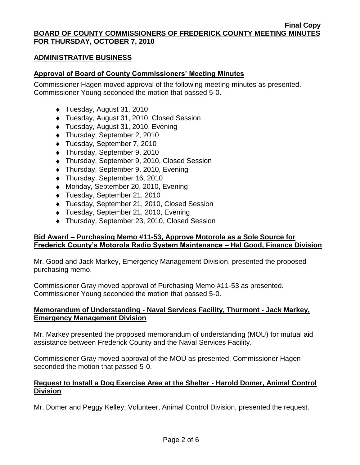## **ADMINISTRATIVE BUSINESS**

## **Approval of Board of County Commissioners' Meeting Minutes**

Commissioner Hagen moved approval of the following meeting minutes as presented. Commissioner Young seconded the motion that passed 5-0.

- ◆ Tuesday, August 31, 2010
- Tuesday, August 31, 2010, Closed Session
- Tuesday, August 31, 2010, Evening
- ◆ Thursday, September 2, 2010
- Tuesday, September 7, 2010
- ◆ Thursday, September 9, 2010
- Thursday, September 9, 2010, Closed Session
- Thursday, September 9, 2010, Evening
- ◆ Thursday, September 16, 2010
- ◆ Monday, September 20, 2010, Evening
- Tuesday, September 21, 2010
- ◆ Tuesday, September 21, 2010, Closed Session
- ◆ Tuesday, September 21, 2010, Evening
- Thursday, September 23, 2010, Closed Session

# **Bid Award – Purchasing Memo #11-53, Approve Motorola as a Sole Source for Frederick County's Motorola Radio System Maintenance – Hal Good, Finance Division**

Mr. Good and Jack Markey, Emergency Management Division, presented the proposed purchasing memo.

Commissioner Gray moved approval of Purchasing Memo #11-53 as presented. Commissioner Young seconded the motion that passed 5-0.

## **Memorandum of Understanding - Naval Services Facility, Thurmont - Jack Markey, Emergency Management Division**

Mr. Markey presented the proposed memorandum of understanding (MOU) for mutual aid assistance between Frederick County and the Naval Services Facility.

Commissioner Gray moved approval of the MOU as presented. Commissioner Hagen seconded the motion that passed 5-0.

## **Request to Install a Dog Exercise Area at the Shelter - Harold Domer, Animal Control Division**

Mr. Domer and Peggy Kelley, Volunteer, Animal Control Division, presented the request.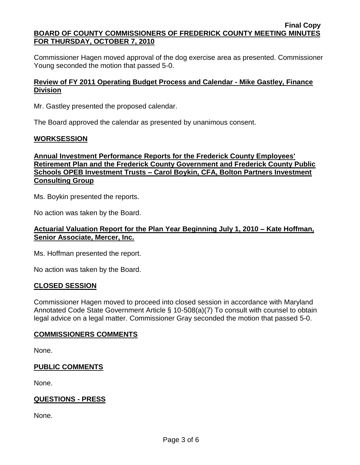Commissioner Hagen moved approval of the dog exercise area as presented. Commissioner Young seconded the motion that passed 5-0.

## **Review of FY 2011 Operating Budget Process and Calendar - Mike Gastley, Finance Division**

Mr. Gastley presented the proposed calendar.

The Board approved the calendar as presented by unanimous consent.

### **WORKSESSION**

## **Annual Investment Performance Reports for the Frederick County Employees' Retirement Plan and the Frederick County Government and Frederick County Public Schools OPEB Investment Trusts – Carol Boykin, CFA, Bolton Partners Investment Consulting Group**

Ms. Boykin presented the reports.

No action was taken by the Board.

## **Actuarial Valuation Report for the Plan Year Beginning July 1, 2010 – Kate Hoffman, Senior Associate, Mercer, Inc.**

Ms. Hoffman presented the report.

No action was taken by the Board.

### **CLOSED SESSION**

Commissioner Hagen moved to proceed into closed session in accordance with Maryland Annotated Code State Government Article § 10-508(a)(7) To consult with counsel to obtain legal advice on a legal matter. Commissioner Gray seconded the motion that passed 5-0.

## **COMMISSIONERS COMMENTS**

None.

## **PUBLIC COMMENTS**

None.

# **QUESTIONS - PRESS**

None.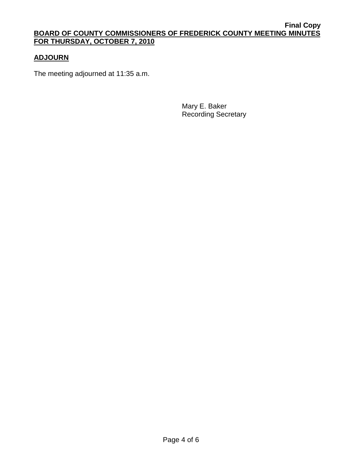# **ADJOURN**

The meeting adjourned at 11:35 a.m.

Mary E. Baker Recording Secretary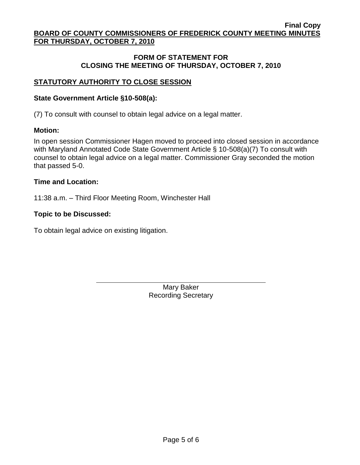## **FORM OF STATEMENT FOR CLOSING THE MEETING OF THURSDAY, OCTOBER 7, 2010**

# **STATUTORY AUTHORITY TO CLOSE SESSION**

### **State Government Article §10-508(a):**

(7) To consult with counsel to obtain legal advice on a legal matter.

### **Motion:**

In open session Commissioner Hagen moved to proceed into closed session in accordance with Maryland Annotated Code State Government Article § 10-508(a)(7) To consult with counsel to obtain legal advice on a legal matter. Commissioner Gray seconded the motion that passed 5-0.

### **Time and Location:**

11:38 a.m. – Third Floor Meeting Room, Winchester Hall

### **Topic to be Discussed:**

To obtain legal advice on existing litigation.

Mary Baker Recording Secretary